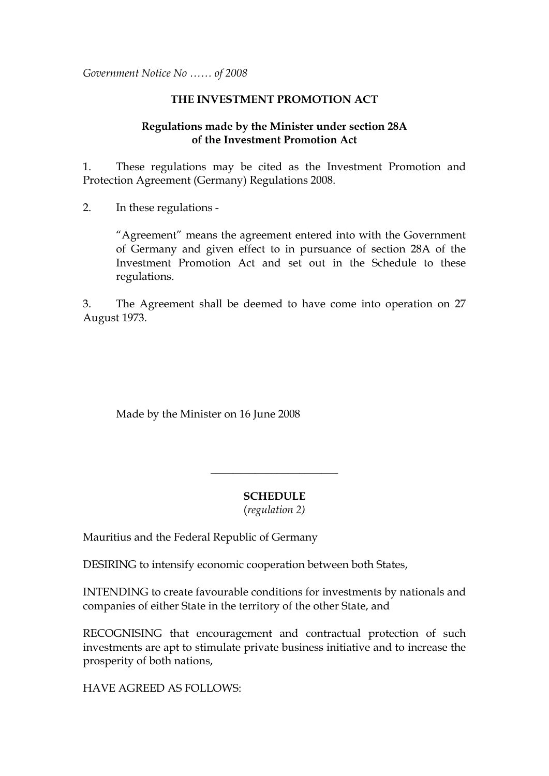*Government Notice No …… of 2008* 

## **THE INVESTMENT PROMOTION ACT**

# **Regulations made by the Minister under section 28A of the Investment Promotion Act**

1. These regulations may be cited as the Investment Promotion and Protection Agreement (Germany) Regulations 2008.

2. In these regulations -

"Agreement" means the agreement entered into with the Government of Germany and given effect to in pursuance of section 28A of the Investment Promotion Act and set out in the Schedule to these regulations.

3. The Agreement shall be deemed to have come into operation on 27 August 1973.

Made by the Minister on 16 June 2008

# **SCHEDULE**

 $\overline{\phantom{a}}$  , where  $\overline{\phantom{a}}$  , where  $\overline{\phantom{a}}$  , where  $\overline{\phantom{a}}$ 

(*regulation 2)* 

Mauritius and the Federal Republic of Germany

DESIRING to intensify economic cooperation between both States,

INTENDING to create favourable conditions for investments by nationals and companies of either State in the territory of the other State, and

RECOGNISING that encouragement and contractual protection of such investments are apt to stimulate private business initiative and to increase the prosperity of both nations,

HAVE AGREED AS FOLLOWS: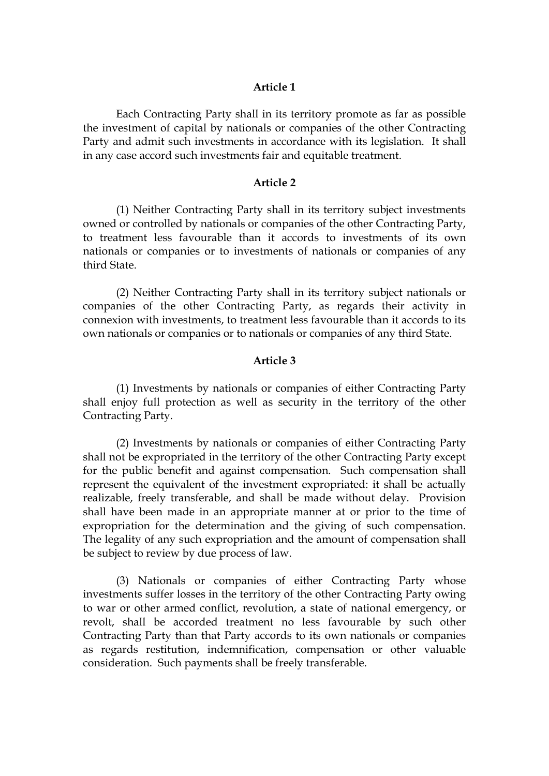Each Contracting Party shall in its territory promote as far as possible the investment of capital by nationals or companies of the other Contracting Party and admit such investments in accordance with its legislation. It shall in any case accord such investments fair and equitable treatment.

#### **Article 2**

 (1) Neither Contracting Party shall in its territory subject investments owned or controlled by nationals or companies of the other Contracting Party, to treatment less favourable than it accords to investments of its own nationals or companies or to investments of nationals or companies of any third State.

(2) Neither Contracting Party shall in its territory subject nationals or companies of the other Contracting Party, as regards their activity in connexion with investments, to treatment less favourable than it accords to its own nationals or companies or to nationals or companies of any third State.

#### **Article 3**

 (1) Investments by nationals or companies of either Contracting Party shall enjoy full protection as well as security in the territory of the other Contracting Party.

 (2) Investments by nationals or companies of either Contracting Party shall not be expropriated in the territory of the other Contracting Party except for the public benefit and against compensation. Such compensation shall represent the equivalent of the investment expropriated: it shall be actually realizable, freely transferable, and shall be made without delay. Provision shall have been made in an appropriate manner at or prior to the time of expropriation for the determination and the giving of such compensation. The legality of any such expropriation and the amount of compensation shall be subject to review by due process of law.

(3) Nationals or companies of either Contracting Party whose investments suffer losses in the territory of the other Contracting Party owing to war or other armed conflict, revolution, a state of national emergency, or revolt, shall be accorded treatment no less favourable by such other Contracting Party than that Party accords to its own nationals or companies as regards restitution, indemnification, compensation or other valuable consideration. Such payments shall be freely transferable.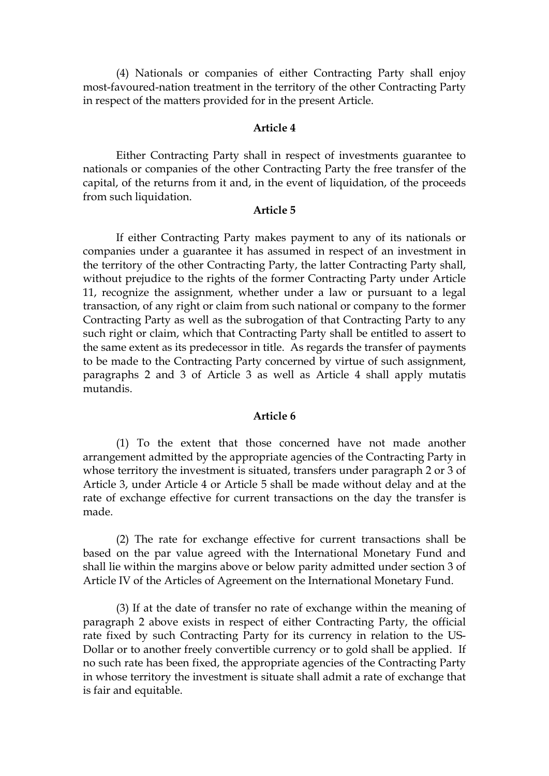(4) Nationals or companies of either Contracting Party shall enjoy most-favoured-nation treatment in the territory of the other Contracting Party in respect of the matters provided for in the present Article.

## **Article 4**

 Either Contracting Party shall in respect of investments guarantee to nationals or companies of the other Contracting Party the free transfer of the capital, of the returns from it and, in the event of liquidation, of the proceeds from such liquidation.

## **Article 5**

 If either Contracting Party makes payment to any of its nationals or companies under a guarantee it has assumed in respect of an investment in the territory of the other Contracting Party, the latter Contracting Party shall, without prejudice to the rights of the former Contracting Party under Article 11, recognize the assignment, whether under a law or pursuant to a legal transaction, of any right or claim from such national or company to the former Contracting Party as well as the subrogation of that Contracting Party to any such right or claim, which that Contracting Party shall be entitled to assert to the same extent as its predecessor in title. As regards the transfer of payments to be made to the Contracting Party concerned by virtue of such assignment, paragraphs 2 and 3 of Article 3 as well as Article 4 shall apply mutatis mutandis.

#### **Article 6**

 (1) To the extent that those concerned have not made another arrangement admitted by the appropriate agencies of the Contracting Party in whose territory the investment is situated, transfers under paragraph 2 or 3 of Article 3, under Article 4 or Article 5 shall be made without delay and at the rate of exchange effective for current transactions on the day the transfer is made.

 (2) The rate for exchange effective for current transactions shall be based on the par value agreed with the International Monetary Fund and shall lie within the margins above or below parity admitted under section 3 of Article IV of the Articles of Agreement on the International Monetary Fund.

 (3) If at the date of transfer no rate of exchange within the meaning of paragraph 2 above exists in respect of either Contracting Party, the official rate fixed by such Contracting Party for its currency in relation to the US-Dollar or to another freely convertible currency or to gold shall be applied. If no such rate has been fixed, the appropriate agencies of the Contracting Party in whose territory the investment is situate shall admit a rate of exchange that is fair and equitable.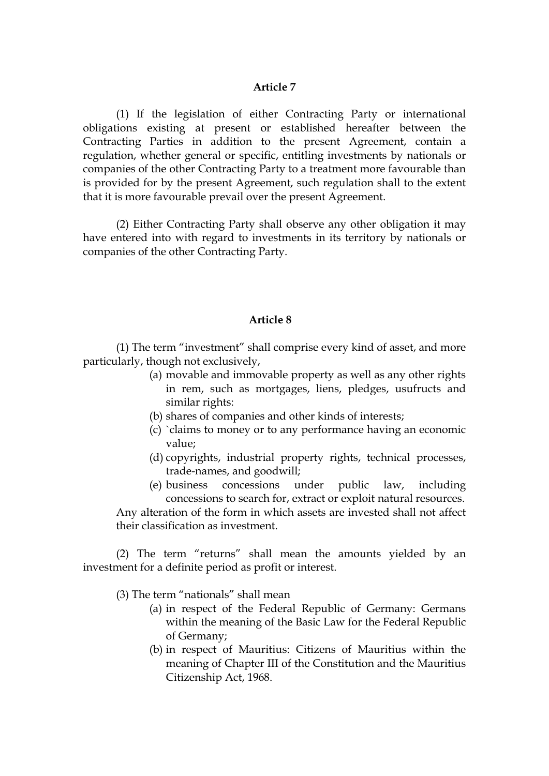(1) If the legislation of either Contracting Party or international obligations existing at present or established hereafter between the Contracting Parties in addition to the present Agreement, contain a regulation, whether general or specific, entitling investments by nationals or companies of the other Contracting Party to a treatment more favourable than is provided for by the present Agreement, such regulation shall to the extent that it is more favourable prevail over the present Agreement.

 (2) Either Contracting Party shall observe any other obligation it may have entered into with regard to investments in its territory by nationals or companies of the other Contracting Party.

#### **Article 8**

 (1) The term "investment" shall comprise every kind of asset, and more particularly, though not exclusively,

- (a) movable and immovable property as well as any other rights in rem, such as mortgages, liens, pledges, usufructs and similar rights:
- (b) shares of companies and other kinds of interests;
- (c) `claims to money or to any performance having an economic value;
- (d) copyrights, industrial property rights, technical processes, trade-names, and goodwill;
- (e) business concessions under public law, including concessions to search for, extract or exploit natural resources.

Any alteration of the form in which assets are invested shall not affect their classification as investment.

 (2) The term "returns" shall mean the amounts yielded by an investment for a definite period as profit or interest.

- (3) The term "nationals" shall mean
	- (a) in respect of the Federal Republic of Germany: Germans within the meaning of the Basic Law for the Federal Republic of Germany;
	- (b) in respect of Mauritius: Citizens of Mauritius within the meaning of Chapter III of the Constitution and the Mauritius Citizenship Act, 1968.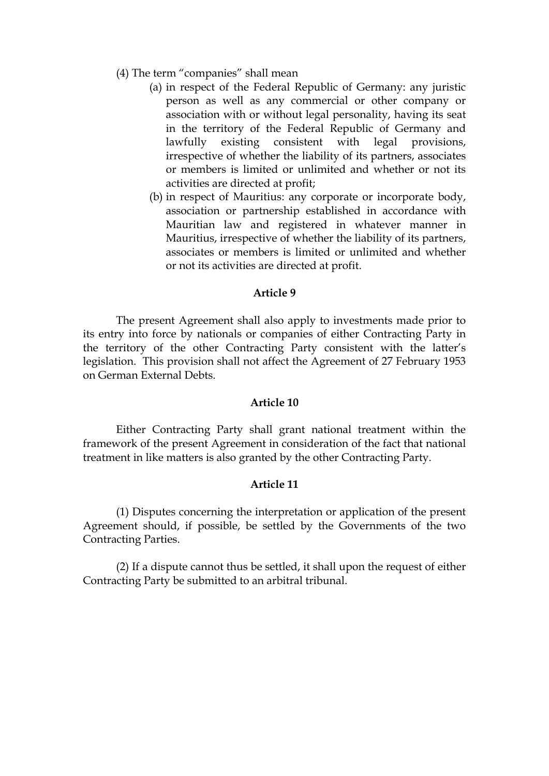- (4) The term "companies" shall mean
	- (a) in respect of the Federal Republic of Germany: any juristic person as well as any commercial or other company or association with or without legal personality, having its seat in the territory of the Federal Republic of Germany and lawfully existing consistent with legal provisions, irrespective of whether the liability of its partners, associates or members is limited or unlimited and whether or not its activities are directed at profit;
	- (b) in respect of Mauritius: any corporate or incorporate body, association or partnership established in accordance with Mauritian law and registered in whatever manner in Mauritius, irrespective of whether the liability of its partners, associates or members is limited or unlimited and whether or not its activities are directed at profit.

 The present Agreement shall also apply to investments made prior to its entry into force by nationals or companies of either Contracting Party in the territory of the other Contracting Party consistent with the latter's legislation. This provision shall not affect the Agreement of 27 February 1953 on German External Debts.

#### **Article 10**

 Either Contracting Party shall grant national treatment within the framework of the present Agreement in consideration of the fact that national treatment in like matters is also granted by the other Contracting Party.

#### **Article 11**

 (1) Disputes concerning the interpretation or application of the present Agreement should, if possible, be settled by the Governments of the two Contracting Parties.

 (2) If a dispute cannot thus be settled, it shall upon the request of either Contracting Party be submitted to an arbitral tribunal.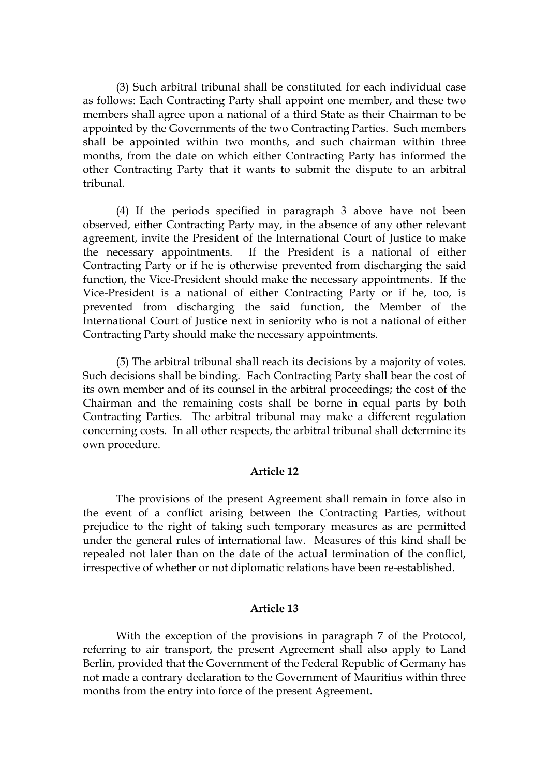(3) Such arbitral tribunal shall be constituted for each individual case as follows: Each Contracting Party shall appoint one member, and these two members shall agree upon a national of a third State as their Chairman to be appointed by the Governments of the two Contracting Parties. Such members shall be appointed within two months, and such chairman within three months, from the date on which either Contracting Party has informed the other Contracting Party that it wants to submit the dispute to an arbitral tribunal.

 (4) If the periods specified in paragraph 3 above have not been observed, either Contracting Party may, in the absence of any other relevant agreement, invite the President of the International Court of Justice to make the necessary appointments. If the President is a national of either Contracting Party or if he is otherwise prevented from discharging the said function, the Vice-President should make the necessary appointments. If the Vice-President is a national of either Contracting Party or if he, too, is prevented from discharging the said function, the Member of the International Court of Justice next in seniority who is not a national of either Contracting Party should make the necessary appointments.

 (5) The arbitral tribunal shall reach its decisions by a majority of votes. Such decisions shall be binding. Each Contracting Party shall bear the cost of its own member and of its counsel in the arbitral proceedings; the cost of the Chairman and the remaining costs shall be borne in equal parts by both Contracting Parties. The arbitral tribunal may make a different regulation concerning costs. In all other respects, the arbitral tribunal shall determine its own procedure.

#### **Article 12**

 The provisions of the present Agreement shall remain in force also in the event of a conflict arising between the Contracting Parties, without prejudice to the right of taking such temporary measures as are permitted under the general rules of international law. Measures of this kind shall be repealed not later than on the date of the actual termination of the conflict, irrespective of whether or not diplomatic relations have been re-established.

#### **Article 13**

 With the exception of the provisions in paragraph 7 of the Protocol, referring to air transport, the present Agreement shall also apply to Land Berlin, provided that the Government of the Federal Republic of Germany has not made a contrary declaration to the Government of Mauritius within three months from the entry into force of the present Agreement.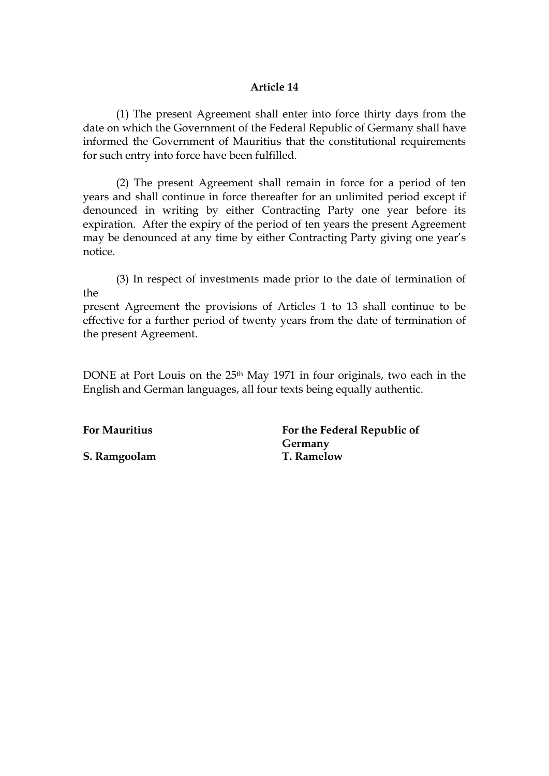(1) The present Agreement shall enter into force thirty days from the date on which the Government of the Federal Republic of Germany shall have informed the Government of Mauritius that the constitutional requirements for such entry into force have been fulfilled.

 (2) The present Agreement shall remain in force for a period of ten years and shall continue in force thereafter for an unlimited period except if denounced in writing by either Contracting Party one year before its expiration. After the expiry of the period of ten years the present Agreement may be denounced at any time by either Contracting Party giving one year's notice.

 (3) In respect of investments made prior to the date of termination of the

present Agreement the provisions of Articles 1 to 13 shall continue to be effective for a further period of twenty years from the date of termination of the present Agreement.

DONE at Port Louis on the 25<sup>th</sup> May 1971 in four originals, two each in the English and German languages, all four texts being equally authentic.

**S. Ramgoolam T. Ramelow** 

**For Mauritius For the Federal Republic of Germany**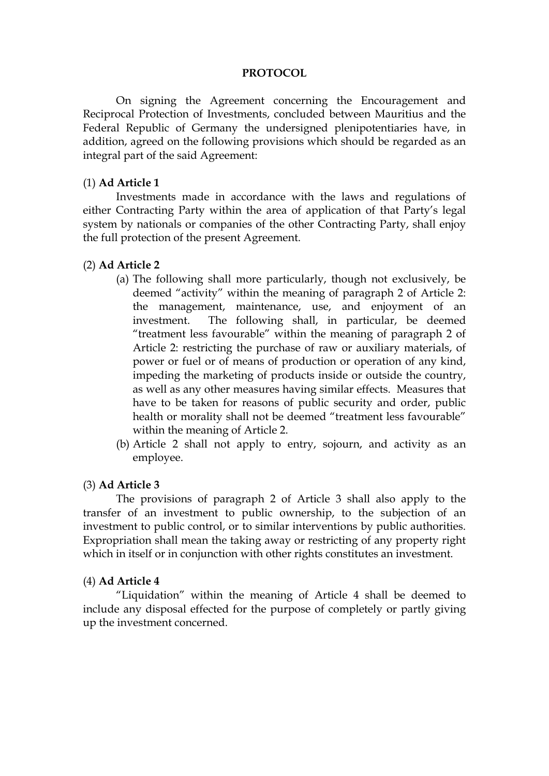## **PROTOCOL**

 On signing the Agreement concerning the Encouragement and Reciprocal Protection of Investments, concluded between Mauritius and the Federal Republic of Germany the undersigned plenipotentiaries have, in addition, agreed on the following provisions which should be regarded as an integral part of the said Agreement:

## (1) **Ad Article 1**

Investments made in accordance with the laws and regulations of either Contracting Party within the area of application of that Party's legal system by nationals or companies of the other Contracting Party, shall enjoy the full protection of the present Agreement.

## (2) **Ad Article 2**

- (a) The following shall more particularly, though not exclusively, be deemed "activity" within the meaning of paragraph 2 of Article 2: the management, maintenance, use, and enjoyment of an investment. The following shall, in particular, be deemed "treatment less favourable" within the meaning of paragraph 2 of Article 2: restricting the purchase of raw or auxiliary materials, of power or fuel or of means of production or operation of any kind, impeding the marketing of products inside or outside the country, as well as any other measures having similar effects. Measures that have to be taken for reasons of public security and order, public health or morality shall not be deemed "treatment less favourable" within the meaning of Article 2.
- (b) Article 2 shall not apply to entry, sojourn, and activity as an employee.

#### (3) **Ad Article 3**

The provisions of paragraph 2 of Article 3 shall also apply to the transfer of an investment to public ownership, to the subjection of an investment to public control, or to similar interventions by public authorities. Expropriation shall mean the taking away or restricting of any property right which in itself or in conjunction with other rights constitutes an investment.

#### (4) **Ad Article 4**

 "Liquidation" within the meaning of Article 4 shall be deemed to include any disposal effected for the purpose of completely or partly giving up the investment concerned.